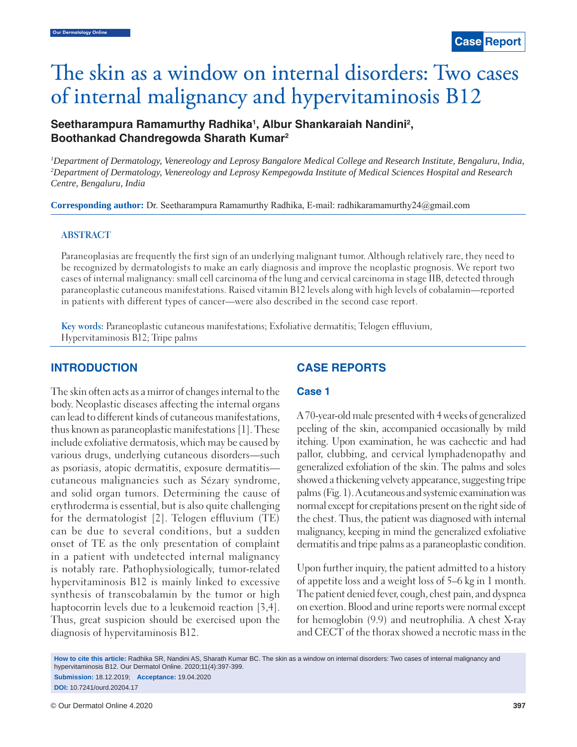# The skin as a window on internal disorders: Two cases of internal malignancy and hypervitaminosis B12

# Seetharampura Ramamurthy Radhika<sup>1</sup>, Albur Shankaraiah Nandini<sup>2</sup>, **Boothankad Chandregowda Sharath Kumar2**

*1 Department of Dermatology, Venereology and Leprosy Bangalore Medical College and Research Institute, Bengaluru, India, 2 Department of Dermatology, Venereology and Leprosy Kempegowda Institute of Medical Sciences Hospital and Research Centre, Bengaluru, India*

**Corresponding author:** Dr. Seetharampura Ramamurthy Radhika, E-mail: radhikaramamurthy24@gmail.com

#### **ABSTRACT**

Paraneoplasias are frequently the first sign of an underlying malignant tumor. Although relatively rare, they need to be recognized by dermatologists to make an early diagnosis and improve the neoplastic prognosis. We report two cases of internal malignancy: small cell carcinoma of the lung and cervical carcinoma in stage IIB, detected through paraneoplastic cutaneous manifestations. Raised vitamin B12 levels along with high levels of cobalamin—reported in patients with different types of cancer—were also described in the second case report.

**Key words:** Paraneoplastic cutaneous manifestations; Exfoliative dermatitis; Telogen effluvium, Hypervitaminosis B12; Tripe palms

### **INTRODUCTION**

The skin often acts as a mirror of changes internal to the body. Neoplastic diseases affecting the internal organs can lead to different kinds of cutaneous manifestations, thus known as paraneoplastic manifestations [1]. These include exfoliative dermatosis, which may be caused by various drugs, underlying cutaneous disorders—such as psoriasis, atopic dermatitis, exposure dermatitis cutaneous malignancies such as Sézary syndrome, and solid organ tumors. Determining the cause of erythroderma is essential, but is also quite challenging for the dermatologist [2]. Telogen effluvium (TE) can be due to several conditions, but a sudden onset of TE as the only presentation of complaint in a patient with undetected internal malignancy is notably rare. Pathophysiologically, tumor-related hypervitaminosis B12 is mainly linked to excessive synthesis of transcobalamin by the tumor or high haptocorrin levels due to a leukemoid reaction [3,4]. Thus, great suspicion should be exercised upon the diagnosis of hypervitaminosis B12.

# **CASE REPORTS**

#### **Case 1**

A 70-year-old male presented with 4 weeks of generalized peeling of the skin, accompanied occasionally by mild itching. Upon examination, he was cachectic and had pallor, clubbing, and cervical lymphadenopathy and generalized exfoliation of the skin. The palms and soles showed a thickening velvety appearance, suggesting tripe palms (Fig. 1). A cutaneous and systemic examination was normal except for crepitations present on the right side of the chest. Thus, the patient was diagnosed with internal malignancy, keeping in mind the generalized exfoliative dermatitis and tripe palms as a paraneoplastic condition.

Upon further inquiry, the patient admitted to a history of appetite loss and a weight loss of 5–6 kg in 1 month. The patient denied fever, cough, chest pain, and dyspnea on exertion. Blood and urine reports were normal except for hemoglobin (9.9) and neutrophilia. A chest X-ray and CECT of the thorax showed a necrotic mass in the

**How to cite this article:** Radhika SR, Nandini AS, Sharath Kumar BC. The skin as a window on internal disorders: Two cases of internal malignancy and hypervitaminosis B12. Our Dermatol Online. 2020;11(4):397-399. **Submission:** 18.12.2019; **Acceptance:** 19.04.2020

**DOI:** 10.7241/ourd.20204.17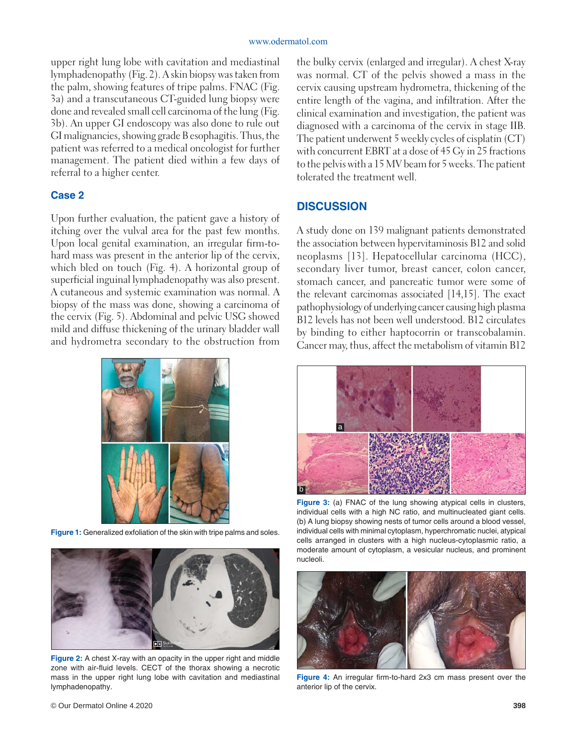upper right lung lobe with cavitation and mediastinal lymphadenopathy (Fig. 2). A skin biopsy was taken from the palm, showing features of tripe palms. FNAC (Fig. 3a) and a transcutaneous CT-guided lung biopsy were done and revealed small cell carcinoma of the lung (Fig. 3b). An upper GI endoscopy was also done to rule out GI malignancies, showing grade B esophagitis. Thus, the patient was referred to a medical oncologist for further management. The patient died within a few days of referral to a higher center.

#### **Case 2**

Upon further evaluation, the patient gave a history of itching over the vulval area for the past few months. Upon local genital examination, an irregular firm-tohard mass was present in the anterior lip of the cervix, which bled on touch (Fig. 4). A horizontal group of superficial inguinal lymphadenopathy was also present. A cutaneous and systemic examination was normal. A biopsy of the mass was done, showing a carcinoma of the cervix (Fig. 5). Abdominal and pelvic USG showed mild and diffuse thickening of the urinary bladder wall and hydrometra secondary to the obstruction from



**Figure 1:** Generalized exfoliation of the skin with tripe palms and soles.



**Figure 2:** A chest X-ray with an opacity in the upper right and middle zone with air-fluid levels. CECT of the thorax showing a necrotic mass in the upper right lung lobe with cavitation and mediastinal lymphadenopathy.

the bulky cervix (enlarged and irregular). A chest X-ray was normal. CT of the pelvis showed a mass in the cervix causing upstream hydrometra, thickening of the entire length of the vagina, and infiltration. After the clinical examination and investigation, the patient was diagnosed with a carcinoma of the cervix in stage IIB. The patient underwent 5 weekly cycles of cisplatin (CT) with concurrent EBRT at a dose of 45 Gy in 25 fractions to the pelvis with a 15 MV beam for 5 weeks. The patient tolerated the treatment well.

#### **DISCUSSION**

A study done on 139 malignant patients demonstrated the association between hypervitaminosis B12 and solid neoplasms [13]. Hepatocellular carcinoma (HCC), secondary liver tumor, breast cancer, colon cancer, stomach cancer, and pancreatic tumor were some of the relevant carcinomas associated [14,15]. The exact pathophysiology of underlying cancer causing high plasma B12 levels has not been well understood. B12 circulates by binding to either haptocorrin or transcobalamin. Cancer may, thus, affect the metabolism of vitamin B12



**Figure 3:** (a) FNAC of the lung showing atypical cells in clusters, individual cells with a high NC ratio, and multinucleated giant cells. (b) A lung biopsy showing nests of tumor cells around a blood vessel, individual cells with minimal cytoplasm, hyperchromatic nuclei, atypical cells arranged in clusters with a high nucleus-cytoplasmic ratio, a moderate amount of cytoplasm, a vesicular nucleus, and prominent nucleoli.



**Figure 4:** An irregular firm-to-hard 2x3 cm mass present over the anterior lip of the cervix.